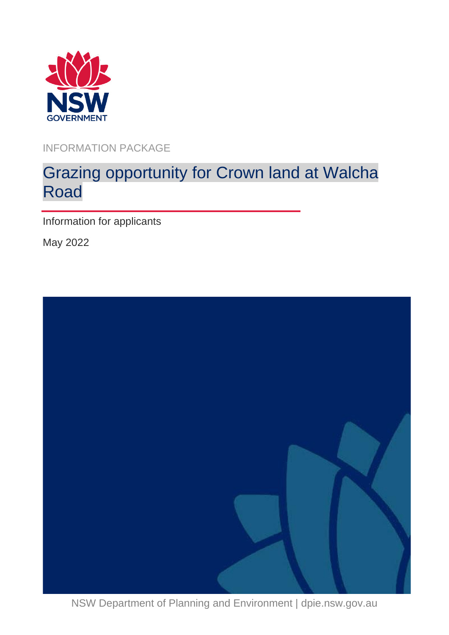

INFORMATION PACKAGE

# Grazing opportunity for Crown land at Walcha Road

Information for applicants

May 2022



NSW Department of Planning and Environment | dpie.nsw.gov.au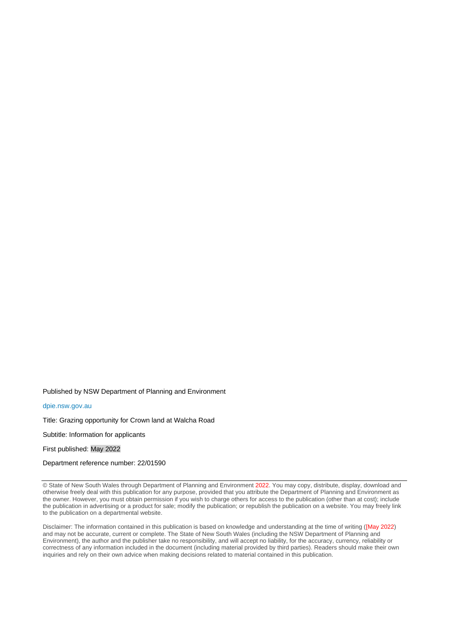Published by NSW Department of Planning and Environment

[dpie.nsw.gov.au](http://www.dpie.nsw.gov.au/)

Title: Grazing opportunity for Crown land at Walcha Road

Subtitle: Information for applicants

First published: May 2022

Department reference number: 22/01590

© State of New South Wales through Department of Planning and Environment 2022. You may copy, distribute, display, download and otherwise freely deal with this publication for any purpose, provided that you attribute the Department of Planning and Environment as the owner. However, you must obtain permission if you wish to charge others for access to the publication (other than at cost); include the publication in advertising or a product for sale; modify the publication; or republish the publication on a website. You may freely link to the publication on a departmental website.

Disclaimer: The information contained in this publication is based on knowledge and understanding at the time of writing ([May 2022) and may not be accurate, current or complete. The State of New South Wales (including the NSW Department of Planning and Environment), the author and the publisher take no responsibility, and will accept no liability, for the accuracy, currency, reliability or correctness of any information included in the document (including material provided by third parties). Readers should make their own inquiries and rely on their own advice when making decisions related to material contained in this publication.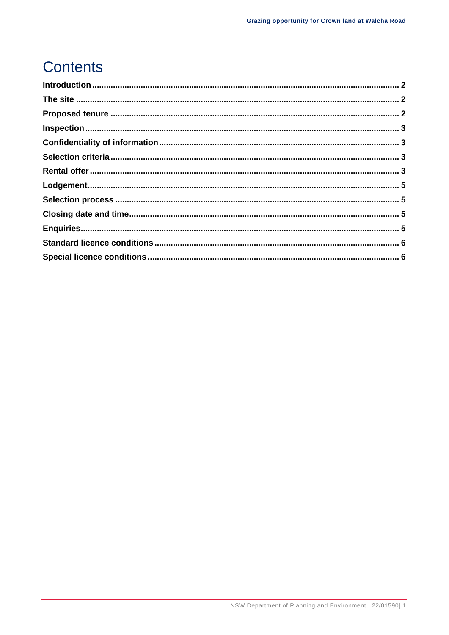## **Contents**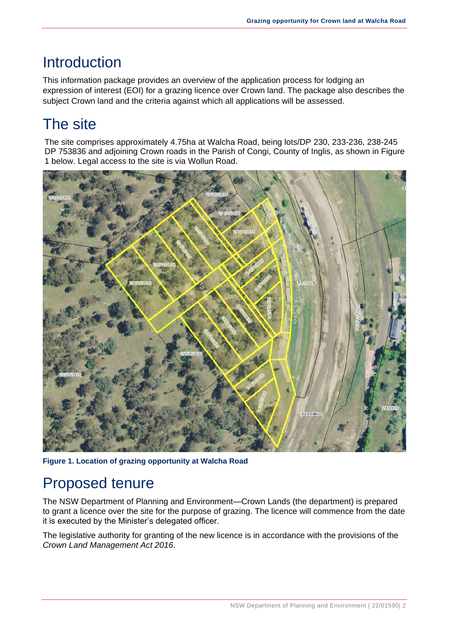#### <span id="page-3-0"></span>**Introduction**

This information package provides an overview of the application process for lodging an expression of interest (EOI) for a grazing licence over Crown land. The package also describes the subject Crown land and the criteria against which all applications will be assessed.

## <span id="page-3-1"></span>The site

The site comprises approximately 4.75ha at Walcha Road, being lots/DP 230, 233-236, 238-245 DP 753836 and adjoining Crown roads in the Parish of Congi, County of Inglis, as shown in Figure 1 below. Legal access to the site is via Wollun Road.



**Figure 1. Location of grazing opportunity at Walcha Road**

### <span id="page-3-2"></span>Proposed tenure

The NSW Department of Planning and Environment—Crown Lands (the department) is prepared to grant a licence over the site for the purpose of grazing. The licence will commence from the date it is executed by the Minister's delegated officer.

The legislative authority for granting of the new licence is in accordance with the provisions of the *Crown Land Management Act 2016*.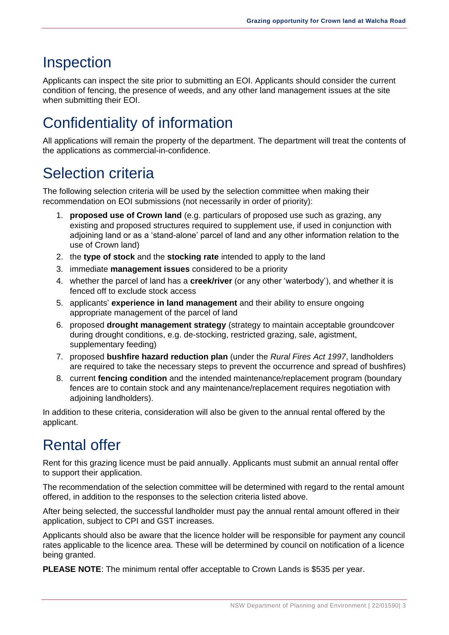#### <span id="page-4-0"></span>Inspection

Applicants can inspect the site prior to submitting an EOI. Applicants should consider the current condition of fencing, the presence of weeds, and any other land management issues at the site when submitting their EOI.

## <span id="page-4-1"></span>Confidentiality of information

All applications will remain the property of the department. The department will treat the contents of the applications as commercial-in-confidence.

### <span id="page-4-2"></span>Selection criteria

The following selection criteria will be used by the selection committee when making their recommendation on EOI submissions (not necessarily in order of priority):

- 1. **proposed use of Crown land** (e.g. particulars of proposed use such as grazing, any existing and proposed structures required to supplement use, if used in conjunction with adjoining land or as a 'stand-alone' parcel of land and any other information relation to the use of Crown land)
- 2. the **type of stock** and the **stocking rate** intended to apply to the land
- 3. immediate **management issues** considered to be a priority
- 4. whether the parcel of land has a **creek/river** (or any other 'waterbody'), and whether it is fenced off to exclude stock access
- 5. applicants' **experience in land management** and their ability to ensure ongoing appropriate management of the parcel of land
- 6. proposed **drought management strategy** (strategy to maintain acceptable groundcover during drought conditions, e.g. de-stocking, restricted grazing, sale, agistment, supplementary feeding)
- 7. proposed **bushfire hazard reduction plan** (under the *Rural Fires Act 1997*, landholders are required to take the necessary steps to prevent the occurrence and spread of bushfires)
- 8. current **fencing condition** and the intended maintenance/replacement program (boundary fences are to contain stock and any maintenance/replacement requires negotiation with adjoining landholders).

In addition to these criteria, consideration will also be given to the annual rental offered by the applicant.

# <span id="page-4-3"></span>Rental offer

Rent for this grazing licence must be paid annually. Applicants must submit an annual rental offer to support their application.

The recommendation of the selection committee will be determined with regard to the rental amount offered, in addition to the responses to the selection criteria listed above.

After being selected, the successful landholder must pay the annual rental amount offered in their application, subject to CPI and GST increases.

Applicants should also be aware that the licence holder will be responsible for payment any council rates applicable to the licence area. These will be determined by council on notification of a licence being granted.

**PLEASE NOTE**: The minimum rental offer acceptable to Crown Lands is \$535 per year.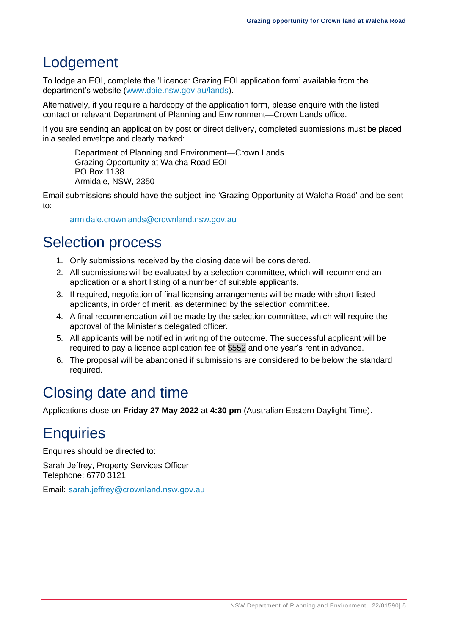### <span id="page-6-0"></span>Lodgement

To lodge an EOI, complete the 'Licence: Grazing EOI application form' available from the department's website [\(www.dpie.nsw.gov.au/lands\)](http://www.dpie.nsw.gov.au/lands).

Alternatively, if you require a hardcopy of the application form, please enquire with the listed contact or relevant Department of Planning and Environment—Crown Lands office.

If you are sending an application by post or direct delivery, completed submissions must be placed in a sealed envelope and clearly marked:

Department of Planning and Environment—Crown Lands Grazing Opportunity at Walcha Road EOI PO Box 1138 Armidale, NSW, 2350

Email submissions should have the subject line 'Grazing Opportunity at Walcha Road' and be sent to:

[armidale.crownlands@crownland.nsw.gov.au](mailto:armidale.crownlands@crownland.nsw.gov.au)

### <span id="page-6-1"></span>Selection process

- 1. Only submissions received by the closing date will be considered.
- 2. All submissions will be evaluated by a selection committee, which will recommend an application or a short listing of a number of suitable applicants.
- 3. If required, negotiation of final licensing arrangements will be made with short-listed applicants, in order of merit, as determined by the selection committee.
- 4. A final recommendation will be made by the selection committee, which will require the approval of the Minister's delegated officer.
- 5. All applicants will be notified in writing of the outcome. The successful applicant will be required to pay a licence application fee of \$552 and one year's rent in advance.
- 6. The proposal will be abandoned if submissions are considered to be below the standard required.

## <span id="page-6-2"></span>Closing date and time

Applications close on **Friday 27 May 2022** at **4:30 pm** (Australian Eastern Daylight Time).

### <span id="page-6-3"></span>**Enquiries**

Enquires should be directed to:

Sarah Jeffrey, Property Services Officer Telephone: 6770 3121

Email: [sarah.jeffrey@crownland.nsw.gov.au](mailto:sarah.jeffrey@crownland.nsw.gov.au)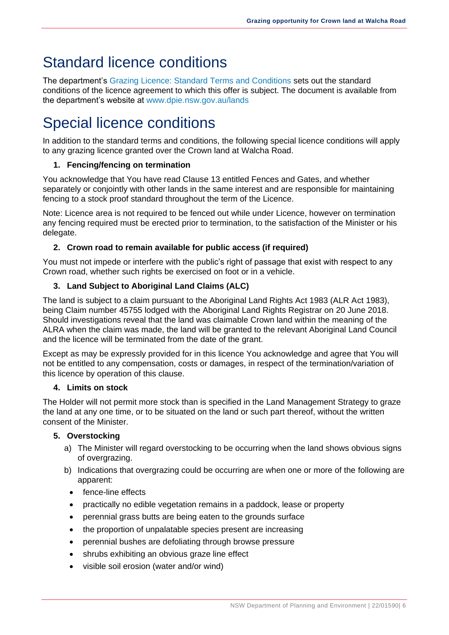## <span id="page-7-0"></span>Standard licence conditions

The department's [Grazing Licence: Standard Terms and Conditions](https://www.industry.nsw.gov.au/__data/assets/pdf_file/0007/142684/Grazing-Licence-Standard-Terms-and-Conditions.pdf) sets out the standard conditions of the licence agreement to which this offer is subject. The document is available from the department's website at [www.dpie.nsw.gov.au/lands](http://www.dpie.nsw.gov.au/lands)

# <span id="page-7-1"></span>Special licence conditions

In addition to the standard terms and conditions, the following special licence conditions will apply to any grazing licence granted over the Crown land at Walcha Road.

#### **1. Fencing/fencing on termination**

You acknowledge that You have read Clause 13 entitled Fences and Gates, and whether separately or conjointly with other lands in the same interest and are responsible for maintaining fencing to a stock proof standard throughout the term of the Licence.

Note: Licence area is not required to be fenced out while under Licence, however on termination any fencing required must be erected prior to termination, to the satisfaction of the Minister or his delegate.

#### **2. Crown road to remain available for public access (if required)**

You must not impede or interfere with the public's right of passage that exist with respect to any Crown road, whether such rights be exercised on foot or in a vehicle.

#### **3. Land Subject to Aboriginal Land Claims (ALC)**

The land is subject to a claim pursuant to the Aboriginal Land Rights Act 1983 (ALR Act 1983), being Claim number 45755 lodged with the Aboriginal Land Rights Registrar on 20 June 2018. Should investigations reveal that the land was claimable Crown land within the meaning of the ALRA when the claim was made, the land will be granted to the relevant Aboriginal Land Council and the licence will be terminated from the date of the grant.

Except as may be expressly provided for in this licence You acknowledge and agree that You will not be entitled to any compensation, costs or damages, in respect of the termination/variation of this licence by operation of this clause.

#### **4. Limits on stock**

The Holder will not permit more stock than is specified in the Land Management Strategy to graze the land at any one time, or to be situated on the land or such part thereof, without the written consent of the Minister.

#### **5. Overstocking**

- a) The Minister will regard overstocking to be occurring when the land shows obvious signs of overgrazing.
- b) Indications that overgrazing could be occurring are when one or more of the following are apparent:
	- fence-line effects
	- practically no edible vegetation remains in a paddock, lease or property
	- perennial grass butts are being eaten to the grounds surface
	- the proportion of unpalatable species present are increasing
	- perennial bushes are defoliating through browse pressure
	- shrubs exhibiting an obvious graze line effect
	- visible soil erosion (water and/or wind)